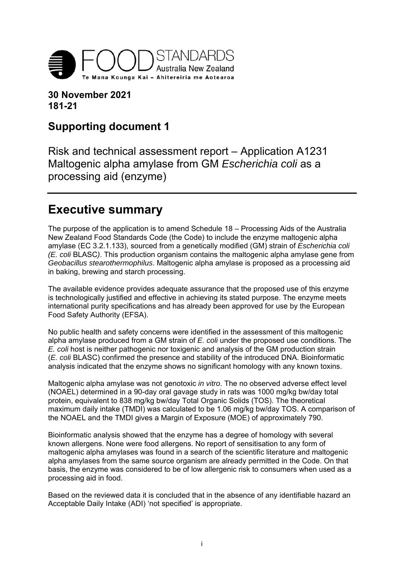

**30 November 2021 181-21** 

# **Supporting document 1**

Risk and technical assessment report – Application A1231 Maltogenic alpha amylase from GM *Escherichia coli* as a processing aid (enzyme)

# **Executive summary**

The purpose of the application is to amend Schedule 18 – Processing Aids of the Australia New Zealand Food Standards Code (the Code) to include the enzyme maltogenic alpha amylase (EC 3.2.1.133), sourced from a genetically modified (GM) strain of *Escherichia coli (E. coli* BLASC*)*. This production organism contains the maltogenic alpha amylase gene from *Geobacillus stearothermophilus*. Maltogenic alpha amylase is proposed as a processing aid in baking, brewing and starch processing.

The available evidence provides adequate assurance that the proposed use of this enzyme is technologically justified and effective in achieving its stated purpose. The enzyme meets international purity specifications and has already been approved for use by the European Food Safety Authority (EFSA).

No public health and safety concerns were identified in the assessment of this maltogenic alpha amylase produced from a GM strain of *E. coli* under the proposed use conditions. The *E. coli* host is neither pathogenic nor toxigenic and analysis of the GM production strain (*E. coli* BLASC) confirmed the presence and stability of the introduced DNA. Bioinformatic analysis indicated that the enzyme shows no significant homology with any known toxins.

Maltogenic alpha amylase was not genotoxic *in vitro*. The no observed adverse effect level (NOAEL) determined in a 90-day oral gavage study in rats was 1000 mg/kg bw/day total protein, equivalent to 838 mg/kg bw/day Total Organic Solids (TOS). The theoretical maximum daily intake (TMDI) was calculated to be 1.06 mg/kg bw/day TOS. A comparison of the NOAEL and the TMDI gives a Margin of Exposure (MOE) of approximately 790.

Bioinformatic analysis showed that the enzyme has a degree of homology with several known allergens. None were food allergens. No report of sensitisation to any form of maltogenic alpha amylases was found in a search of the scientific literature and maltogenic alpha amylases from the same source organism are already permitted in the Code. On that basis, the enzyme was considered to be of low allergenic risk to consumers when used as a processing aid in food.

Based on the reviewed data it is concluded that in the absence of any identifiable hazard an Acceptable Daily Intake (ADI) 'not specified' is appropriate.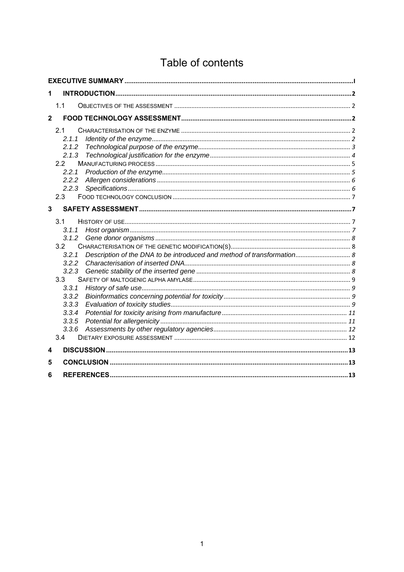# Table of contents

| 1              |                                                                                                                             |  |  |  |  |  |
|----------------|-----------------------------------------------------------------------------------------------------------------------------|--|--|--|--|--|
|                | 11                                                                                                                          |  |  |  |  |  |
| $\overline{2}$ |                                                                                                                             |  |  |  |  |  |
|                | 2.1<br>2.1.1<br>2.1.2<br>2.1.3<br>2.2<br>2.2.1<br>2.2.2<br>2.2.3<br>2.3                                                     |  |  |  |  |  |
| 3              |                                                                                                                             |  |  |  |  |  |
|                | 3.1<br>3.1.1<br>3.1.2<br>3.2<br>3.2.1<br>3.2.2<br>3.2.3<br>3.3<br>3.3.1<br>3.3.2<br>3.3.3<br>3.3.4<br>3.3.5<br>3.3.6<br>3.4 |  |  |  |  |  |
| 4              |                                                                                                                             |  |  |  |  |  |
| 5<br>6         |                                                                                                                             |  |  |  |  |  |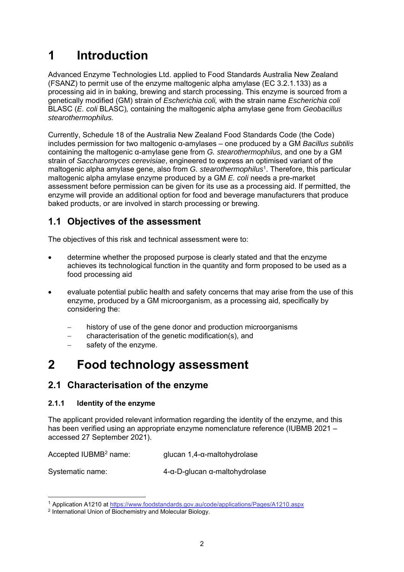# **1 Introduction**

Advanced Enzyme Technologies Ltd. applied to Food Standards Australia New Zealand (FSANZ) to permit use of the enzyme maltogenic alpha amylase (EC 3.2.1.133) as a processing aid in in baking, brewing and starch processing. This enzyme is sourced from a genetically modified (GM) strain of *Escherichia coli,* with the strain name *Escherichia coli*  BLASC (*E. coli* BLASC)*,* containing the maltogenic alpha amylase gene from *Geobacillus stearothermophilus.* 

Currently, Schedule 18 of the Australia New Zealand Food Standards Code (the Code) includes permission for two maltogenic α-amylases – one produced by a GM *Bacillus subtilis*  containing the maltogenic α-amylase gene from *G. stearothermophilus,* and one by a GM strain of *Saccharomyces cerevisiae*, engineered to express an optimised variant of the maltogenic alpha amylase gene, also from *G. stearothermophilus*1. Therefore, this particular maltogenic alpha amylase enzyme produced by a GM *E. coli* needs a pre-market assessment before permission can be given for its use as a processing aid. If permitted, the enzyme will provide an additional option for food and beverage manufacturers that produce baked products, or are involved in starch processing or brewing.

## **1.1 Objectives of the assessment**

The objectives of this risk and technical assessment were to:

- determine whether the proposed purpose is clearly stated and that the enzyme achieves its technological function in the quantity and form proposed to be used as a food processing aid
- evaluate potential public health and safety concerns that may arise from the use of this enzyme, produced by a GM microorganism, as a processing aid, specifically by considering the:
	- history of use of the gene donor and production microorganisms
	- characterisation of the genetic modification(s), and
	- safety of the enzyme.

# **2 Food technology assessment**

## **2.1 Characterisation of the enzyme**

## **2.1.1 Identity of the enzyme**

-

The applicant provided relevant information regarding the identity of the enzyme, and this has been verified using an appropriate enzyme nomenclature reference (IUBMB 2021 – accessed 27 September 2021).

Accepted IUBMB<sup>2</sup> name: glucan 1,4-α-maltohydrolase

Systematic name: 4-α-D-glucan α-maltohydrolase

<sup>&</sup>lt;sup>1</sup> Application A1210 at https://www.foodstandards.gov.au/code/applications/Pages/A1210.aspx <sup>2</sup> International Union of Biochemistry and Molecular Biology.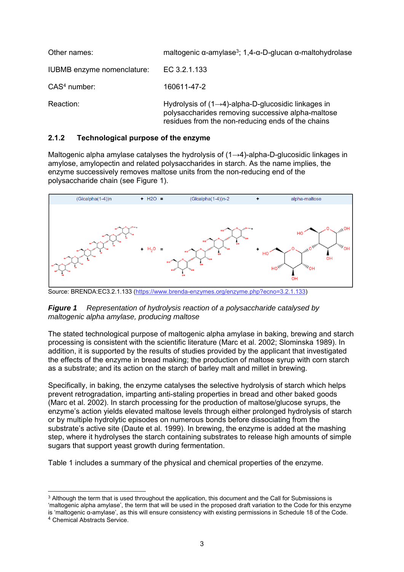| Other names:               | maltogenic $\alpha$ -amylase <sup>3</sup> ; 1,4- $\alpha$ -D-glucan $\alpha$ -maltohydrolase                                                                               |
|----------------------------|----------------------------------------------------------------------------------------------------------------------------------------------------------------------------|
| IUBMB enzyme nomenclature: | EC 3.2.1.133                                                                                                                                                               |
| $CAS4$ number:             | 160611-47-2                                                                                                                                                                |
| Reaction:                  | Hydrolysis of $(1\rightarrow 4)$ -alpha-D-glucosidic linkages in<br>polysaccharides removing successive alpha-maltose<br>residues from the non-reducing ends of the chains |

## **2.1.2 Technological purpose of the enzyme**

Maltogenic alpha amylase catalyses the hydrolysis of (1→4)-alpha-D-glucosidic linkages in amylose, amylopectin and related polysaccharides in starch. As the name implies, the enzyme successively removes maltose units from the non-reducing end of the polysaccharide chain (see Figure 1).



Source: BRENDA:EC3.2.1.133 (https://www.brenda-enzymes.org/enzyme.php?ecno=3.2.1.133)

### *Figure 1 Representation of hydrolysis reaction of a polysaccharide catalysed by maltogenic alpha amylase, producing maltose*

The stated technological purpose of maltogenic alpha amylase in baking, brewing and starch processing is consistent with the scientific literature (Marc et al. 2002; Slominska 1989). In addition, it is supported by the results of studies provided by the applicant that investigated the effects of the enzyme in bread making; the production of maltose syrup with corn starch as a substrate; and its action on the starch of barley malt and millet in brewing.

Specifically, in baking, the enzyme catalyses the selective hydrolysis of starch which helps prevent retrogradation, imparting anti-staling properties in bread and other baked goods (Marc et al. 2002). In starch processing for the production of maltose/glucose syrups, the enzyme's action yields elevated maltose levels through either prolonged hydrolysis of starch or by multiple hydrolytic episodes on numerous bonds before dissociating from the substrate's active site (Daute et al. 1999). In brewing, the enzyme is added at the mashing step, where it hydrolyses the starch containing substrates to release high amounts of simple sugars that support yeast growth during fermentation.

Table 1 includes a summary of the physical and chemical properties of the enzyme.

<sup>-</sup><sup>3</sup> Although the term that is used throughout the application, this document and the Call for Submissions is 'maltogenic alpha amylase', the term that will be used in the proposed draft variation to the Code for this enzyme is 'maltogenic α-amylase', as this will ensure consistency with existing permissions in Schedule 18 of the Code.

<sup>4</sup> Chemical Abstracts Service.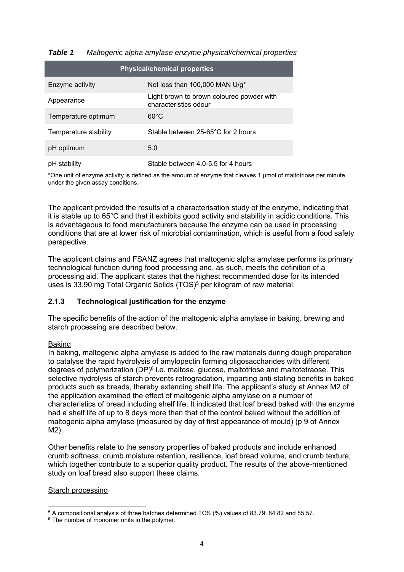| <b>Physical/chemical properties</b> |                                                                    |  |  |  |  |  |
|-------------------------------------|--------------------------------------------------------------------|--|--|--|--|--|
| Enzyme activity                     | Not less than 100,000 MAN U/g*                                     |  |  |  |  |  |
| Appearance                          | Light brown to brown coloured powder with<br>characteristics odour |  |  |  |  |  |
| Temperature optimum                 | $60^{\circ}$ C                                                     |  |  |  |  |  |
| Temperature stability               | Stable between 25-65°C for 2 hours                                 |  |  |  |  |  |
| pH optimum                          | 5.0                                                                |  |  |  |  |  |
| pH stability                        | Stable between 4.0-5.5 for 4 hours                                 |  |  |  |  |  |

## *Table 1 Maltogenic alpha amylase enzyme physical/chemical properties*

\*One unit of enzyme activity is defined as the amount of enzyme that cleaves 1 μmol of maltotriose per minute under the given assay conditions.

The applicant provided the results of a characterisation study of the enzyme, indicating that it is stable up to 65°C and that it exhibits good activity and stability in acidic conditions. This is advantageous to food manufacturers because the enzyme can be used in processing conditions that are at lower risk of microbial contamination, which is useful from a food safety perspective.

The applicant claims and FSANZ agrees that maltogenic alpha amylase performs its primary technological function during food processing and, as such, meets the definition of a processing aid. The applicant states that the highest recommended dose for its intended uses is 33.90 mg Total Organic Solids (TOS)<sup>5</sup> per kilogram of raw material.

### **2.1.3 Technological justification for the enzyme**

The specific benefits of the action of the maltogenic alpha amylase in baking, brewing and starch processing are described below.

### Baking

In baking, maltogenic alpha amylase is added to the raw materials during dough preparation to catalyse the rapid hydrolysis of amylopectin forming oligosaccharides with different degrees of polymerization  $(DP)^6$  i.e. maltose, glucose, maltotriose and maltotetraose. This selective hydrolysis of starch prevents retrogradation, imparting anti-staling benefits in baked products such as breads, thereby extending shelf life. The applicant's study at Annex M2 of the application examined the effect of maltogenic alpha amylase on a number of characteristics of bread including shelf life. It indicated that loaf bread baked with the enzyme had a shelf life of up to 8 days more than that of the control baked without the addition of maltogenic alpha amylase (measured by day of first appearance of mould) (p 9 of Annex M2).

Other benefits relate to the sensory properties of baked products and include enhanced crumb softness, crumb moisture retention, resilience, loaf bread volume, and crumb texture, which together contribute to a superior quality product. The results of the above-mentioned study on loaf bread also support these claims.

### Starch processing

<sup>-</sup> $5$  A compositional analysis of three batches determined TOS (%) values of 83.79, 84.82 and 85.57. 6 The number of monomer units in the polymer.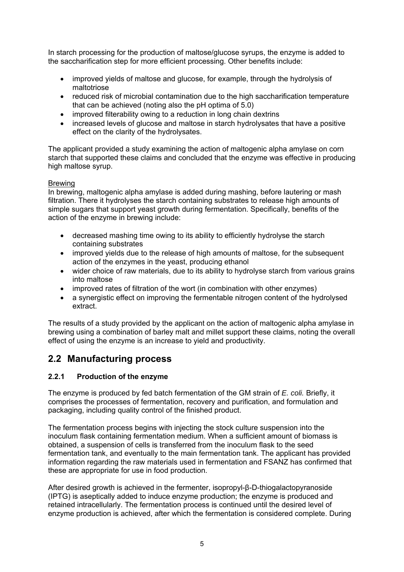In starch processing for the production of maltose/glucose syrups, the enzyme is added to the saccharification step for more efficient processing. Other benefits include:

- improved yields of maltose and glucose, for example, through the hydrolysis of maltotriose
- reduced risk of microbial contamination due to the high saccharification temperature that can be achieved (noting also the pH optima of 5.0)
- improved filterability owing to a reduction in long chain dextrins
- increased levels of glucose and maltose in starch hydrolysates that have a positive effect on the clarity of the hydrolysates.

The applicant provided a study examining the action of maltogenic alpha amylase on corn starch that supported these claims and concluded that the enzyme was effective in producing high maltose syrup.

### Brewing

In brewing, maltogenic alpha amylase is added during mashing, before lautering or mash filtration. There it hydrolyses the starch containing substrates to release high amounts of simple sugars that support yeast growth during fermentation. Specifically, benefits of the action of the enzyme in brewing include:

- decreased mashing time owing to its ability to efficiently hydrolyse the starch containing substrates
- improved yields due to the release of high amounts of maltose, for the subsequent action of the enzymes in the yeast, producing ethanol
- wider choice of raw materials, due to its ability to hydrolyse starch from various grains into maltose
- improved rates of filtration of the wort (in combination with other enzymes)
- a synergistic effect on improving the fermentable nitrogen content of the hydrolysed extract.

The results of a study provided by the applicant on the action of maltogenic alpha amylase in brewing using a combination of barley malt and millet support these claims, noting the overall effect of using the enzyme is an increase to yield and productivity.

## **2.2 Manufacturing process**

## **2.2.1 Production of the enzyme**

The enzyme is produced by fed batch fermentation of the GM strain of *E. coli.* Briefly, it comprises the processes of fermentation, recovery and purification, and formulation and packaging, including quality control of the finished product.

The fermentation process begins with injecting the stock culture suspension into the inoculum flask containing fermentation medium. When a sufficient amount of biomass is obtained, a suspension of cells is transferred from the inoculum flask to the seed fermentation tank, and eventually to the main fermentation tank. The applicant has provided information regarding the raw materials used in fermentation and FSANZ has confirmed that these are appropriate for use in food production.

After desired growth is achieved in the fermenter, isopropyl-β-D-thiogalactopyranoside (IPTG) is aseptically added to induce enzyme production; the enzyme is produced and retained intracellularly. The fermentation process is continued until the desired level of enzyme production is achieved, after which the fermentation is considered complete. During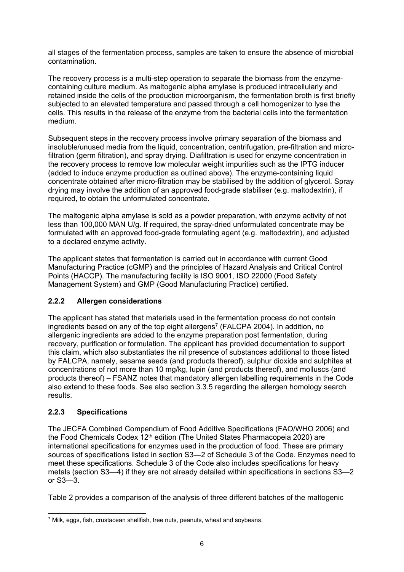all stages of the fermentation process, samples are taken to ensure the absence of microbial contamination.

The recovery process is a multi-step operation to separate the biomass from the enzymecontaining culture medium. As maltogenic alpha amylase is produced intracellularly and retained inside the cells of the production microorganism, the fermentation broth is first briefly subjected to an elevated temperature and passed through a cell homogenizer to lyse the cells. This results in the release of the enzyme from the bacterial cells into the fermentation medium.

Subsequent steps in the recovery process involve primary separation of the biomass and insoluble/unused media from the liquid, concentration, centrifugation, pre-filtration and microfiltration (germ filtration), and spray drying. Diafiltration is used for enzyme concentration in the recovery process to remove low molecular weight impurities such as the IPTG inducer (added to induce enzyme production as outlined above). The enzyme-containing liquid concentrate obtained after micro-filtration may be stabilised by the addition of glycerol. Spray drying may involve the addition of an approved food-grade stabiliser (e.g. maltodextrin), if required, to obtain the unformulated concentrate.

The maltogenic alpha amylase is sold as a powder preparation, with enzyme activity of not less than 100,000 MAN U/g. If required, the spray-dried unformulated concentrate may be formulated with an approved food-grade formulating agent (e.g. maltodextrin), and adjusted to a declared enzyme activity.

The applicant states that fermentation is carried out in accordance with current Good Manufacturing Practice (cGMP) and the principles of Hazard Analysis and Critical Control Points (HACCP). The manufacturing facility is ISO 9001, ISO 22000 (Food Safety Management System) and GMP (Good Manufacturing Practice) certified.

## **2.2.2 Allergen considerations**

The applicant has stated that materials used in the fermentation process do not contain ingredients based on any of the top eight allergens<sup>7</sup> (FALCPA 2004). In addition, no allergenic ingredients are added to the enzyme preparation post fermentation, during recovery, purification or formulation. The applicant has provided documentation to support this claim, which also substantiates the nil presence of substances additional to those listed by FALCPA, namely, sesame seeds (and products thereof), sulphur dioxide and sulphites at concentrations of not more than 10 mg/kg, lupin (and products thereof), and molluscs (and products thereof) – FSANZ notes that mandatory allergen labelling requirements in the Code also extend to these foods. See also section 3.3.5 regarding the allergen homology search results.

## **2.2.3 Specifications**

The JECFA Combined Compendium of Food Additive Specifications (FAO/WHO 2006) and the Food Chemicals Codex 12<sup>th</sup> edition (The United States Pharmacopeia 2020) are international specifications for enzymes used in the production of food. These are primary sources of specifications listed in section S3—2 of Schedule 3 of the Code. Enzymes need to meet these specifications. Schedule 3 of the Code also includes specifications for heavy metals (section S3—4) if they are not already detailed within specifications in sections S3—2 or S3—3.

Table 2 provides a comparison of the analysis of three different batches of the maltogenic

<sup>-</sup>7 Milk, eggs, fish, crustacean shellfish, tree nuts, peanuts, wheat and soybeans.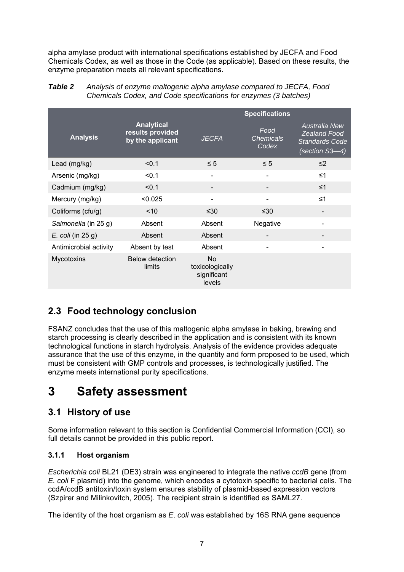alpha amylase product with international specifications established by JECFA and Food Chemicals Codex, as well as those in the Code (as applicable). Based on these results, the enzyme preparation meets all relevant specifications.

|                        |                                                           | <b>Specifications</b>                                 |                                   |                                                                                 |
|------------------------|-----------------------------------------------------------|-------------------------------------------------------|-----------------------------------|---------------------------------------------------------------------------------|
| <b>Analysis</b>        | <b>Analytical</b><br>results provided<br>by the applicant | <b>JECFA</b>                                          | Food<br><b>Chemicals</b><br>Codex | Australia New<br><b>Zealand Food</b><br><b>Standards Code</b><br>(section S3-4) |
| Lead (mg/kg)           | < 0.1                                                     | $\leq 5$                                              | $\leq 5$                          | $\leq$ 2                                                                        |
| Arsenic (mg/kg)        | < 0.1                                                     | $\overline{\phantom{0}}$                              |                                   | $\leq 1$                                                                        |
| Cadmium (mg/kg)        | < 0.1                                                     |                                                       |                                   | $\leq 1$                                                                        |
| Mercury (mg/kg)        | < 0.025                                                   | $\blacksquare$                                        |                                   | $\leq 1$                                                                        |
| Coliforms (cfu/g)      | < 10                                                      | ≤30                                                   | ≤30                               |                                                                                 |
| Salmonella (in 25 g)   | Absent                                                    | Absent                                                | Negative                          |                                                                                 |
| $E.$ coli (in 25 g)    | Absent                                                    | Absent                                                |                                   |                                                                                 |
| Antimicrobial activity | Absent by test                                            | Absent                                                |                                   |                                                                                 |
| Mycotoxins             | <b>Below detection</b><br>limits                          | <b>No</b><br>toxicologically<br>significant<br>levels |                                   |                                                                                 |

*Table 2 Analysis of enzyme maltogenic alpha amylase compared to JECFA, Food Chemicals Codex, and Code specifications for enzymes (3 batches)* 

# **2.3 Food technology conclusion**

FSANZ concludes that the use of this maltogenic alpha amylase in baking, brewing and starch processing is clearly described in the application and is consistent with its known technological functions in starch hydrolysis. Analysis of the evidence provides adequate assurance that the use of this enzyme, in the quantity and form proposed to be used, which must be consistent with GMP controls and processes, is technologically justified. The enzyme meets international purity specifications.

# **3 Safety assessment**

## **3.1 History of use**

Some information relevant to this section is Confidential Commercial Information (CCI), so full details cannot be provided in this public report.

## **3.1.1 Host organism**

*Escherichia coli* BL21 (DE3) strain was engineered to integrate the native *ccdB* gene (from *E. coli* F plasmid) into the genome, which encodes a cytotoxin specific to bacterial cells. The ccdA/ccdB antitoxin/toxin system ensures stability of plasmid-based expression vectors (Szpirer and Milinkovitch, 2005). The recipient strain is identified as SAML27.

The identity of the host organism as *E*. *coli* was established by 16S RNA gene sequence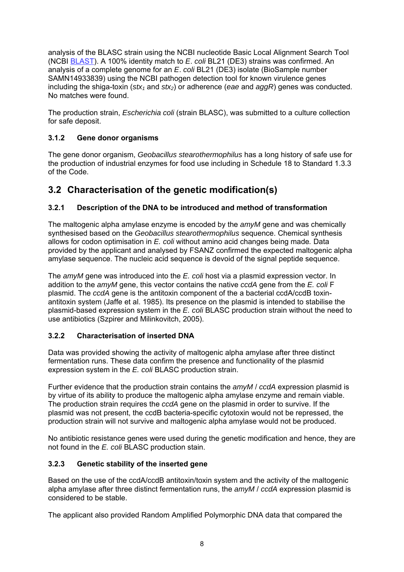analysis of the BLASC strain using the NCBI nucleotide Basic Local Alignment Search Tool (NCBI BLAST). A 100% identity match to *E*. *coli* BL21 (DE3) strains was confirmed. An analysis of a complete genome for an *E*. *coli* BL21 (DE3) isolate (BioSample number SAMN14933839) using the NCBI pathogen detection tool for known virulence genes including the shiga-toxin (*stx<sub>1</sub>* and *stx<sub>2</sub>*) or adherence (*eae* and *aggR*) genes was conducted. No matches were found.

The production strain, *Escherichia coli* (strain BLASC), was submitted to a culture collection for safe deposit.

## **3.1.2 Gene donor organisms**

The gene donor organism, *Geobacillus stearothermophilus* has a long history of safe use for the production of industrial enzymes for food use including in Schedule 18 to Standard 1.3.3 of the Code.

## **3.2 Characterisation of the genetic modification(s)**

## **3.2.1 Description of the DNA to be introduced and method of transformation**

The maltogenic alpha amylase enzyme is encoded by the *amyM* gene and was chemically synthesised based on the *Geobacillus stearothermophilus* sequence. Chemical synthesis allows for codon optimisation in *E. coli* without amino acid changes being made*.* Data provided by the applicant and analysed by FSANZ confirmed the expected maltogenic alpha amylase sequence. The nucleic acid sequence is devoid of the signal peptide sequence.

The *amyM* gene was introduced into the *E. coli* host via a plasmid expression vector. In addition to the *amyM* gene, this vector contains the native *ccdA* gene from the *E. coli* F plasmid. The *ccdA* gene is the antitoxin component of the a bacterial ccdA/ccdB toxinantitoxin system (Jaffe et al. 1985). Its presence on the plasmid is intended to stabilise the plasmid-based expression system in the *E. coli* BLASC production strain without the need to use antibiotics (Szpirer and Milinkovitch, 2005).

### **3.2.2 Characterisation of inserted DNA**

Data was provided showing the activity of maltogenic alpha amylase after three distinct fermentation runs. These data confirm the presence and functionality of the plasmid expression system in the *E. coli* BLASC production strain.

Further evidence that the production strain contains the *amyM* / *ccdA* expression plasmid is by virtue of its ability to produce the maltogenic alpha amylase enzyme and remain viable. The production strain requires the *ccdA* gene on the plasmid in order to survive. If the plasmid was not present, the ccdB bacteria-specific cytotoxin would not be repressed, the production strain will not survive and maltogenic alpha amylase would not be produced.

No antibiotic resistance genes were used during the genetic modification and hence, they are not found in the *E. coli* BLASC production stain.

## **3.2.3 Genetic stability of the inserted gene**

Based on the use of the ccdA/ccdB antitoxin/toxin system and the activity of the maltogenic alpha amylase after three distinct fermentation runs, the *amyM* / *ccdA* expression plasmid is considered to be stable.

The applicant also provided Random Amplified Polymorphic DNA data that compared the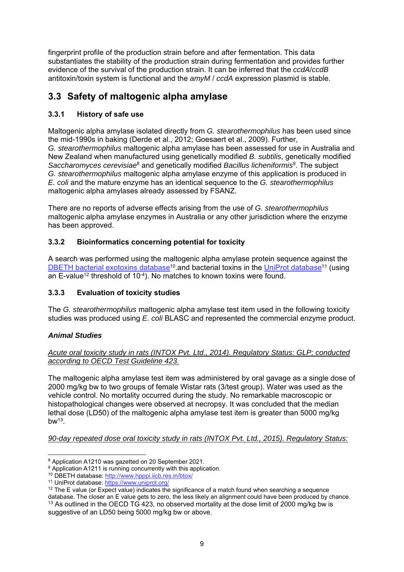fingerprint profile of the production strain before and after fermentation. This data substantiates the stability of the production strain during fermentation and provides further evidence of the survival of the production strain. It can be inferred that the *ccdA*/*ccdB* antitoxin/toxin system is functional and the *amyM* / *ccdA* expression plasmid is stable.

## **3.3 Safety of maltogenic alpha amylase**

## **3.3.1 History of safe use**

Maltogenic alpha amylase isolated directly from *G. stearothermophilus* has been used since the mid-1990s in baking (Derde et al., 2012; Goesaert et al., 2009). Further, *G. stearothermophilus* maltogenic alpha amylase has been assessed for use in Australia and New Zealand when manufactured using genetically modified *B. subtilis*, genetically modified *Saccharomyces cerevisiae*8 and genetically modified *Bacillus licheniformis*9. The subject *G. stearothermophilus* maltogenic alpha amylase enzyme of this application is produced in *E. coli* and the mature enzyme has an identical sequence to the *G. stearothermophilus* maltogenic alpha amylases already assessed by FSANZ.

There are no reports of adverse effects arising from the use of *G. stearothermophilus* maltogenic alpha amylase enzymes in Australia or any other jurisdiction where the enzyme has been approved.

## **3.3.2 Bioinformatics concerning potential for toxicity**

A search was performed using the maltogenic alpha amylase protein sequence against the DBETH bacterial exotoxins database<sup>10</sup> and bacterial toxins in the UniProt database<sup>11</sup> (using an E-value<sup>12</sup> threshold of  $10^{-4}$ ). No matches to known toxins were found.

## **3.3.3 Evaluation of toxicity studies**

The *G. stearothermophilus* maltogenic alpha amylase test item used in the following toxicity studies was produced using *E. coli* BLASC and represented the commercial enzyme product.

## *Animal Studies*

## *Acute oral toxicity study in rats (INTOX Pvt. Ltd., 2014). Regulatory Status: GLP; conducted according to OECD Test Guideline 423.*

The maltogenic alpha amylase test item was administered by oral gavage as a single dose of 2000 mg/kg bw to two groups of female Wistar rats (3/test group). Water was used as the vehicle control. No mortality occurred during the study. No remarkable macroscopic or histopathological changes were observed at necropsy. It was concluded that the median lethal dose (LD50) of the maltogenic alpha amylase test item is greater than 5000 mg/kg  $bw<sup>13</sup>$ 

*90-day repeated dose oral toxicity study in rats (INTOX Pvt. Ltd., 2015). Regulatory Status:* 

<sup>-</sup>

<sup>&</sup>lt;sup>8</sup> Application A1210 was gazetted on 20 September 2021.<br><sup>9</sup> Application A1211 is running concurrently with this application.<br><sup>10</sup> DBETH database: http://www.hpppi.iicb.res.in/btox/

<sup>11</sup> UniProt database: https://www.uniprot.org/

 $12$  The E value (or Expect value) indicates the significance of a match found when searching a sequence

database. The closer an E value gets to zero, the less likely an alignment could have been produced by chance. <sup>13</sup> As outlined in the OECD TG 423, no observed mortality at the dose limit of 2000 mg/kg bw is suggestive of an LD50 being 5000 mg/kg bw or above.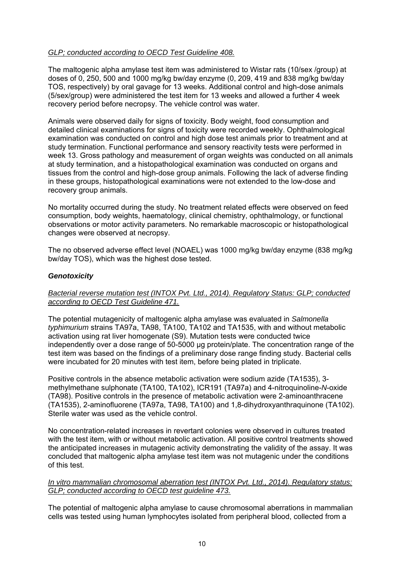### *GLP; conducted according to OECD Test Guideline 408.*

The maltogenic alpha amylase test item was administered to Wistar rats (10/sex /group) at doses of 0, 250, 500 and 1000 mg/kg bw/day enzyme (0, 209, 419 and 838 mg/kg bw/day TOS, respectively) by oral gavage for 13 weeks. Additional control and high-dose animals (5/sex/group) were administered the test item for 13 weeks and allowed a further 4 week recovery period before necropsy. The vehicle control was water.

Animals were observed daily for signs of toxicity. Body weight, food consumption and detailed clinical examinations for signs of toxicity were recorded weekly. Ophthalmological examination was conducted on control and high dose test animals prior to treatment and at study termination. Functional performance and sensory reactivity tests were performed in week 13. Gross pathology and measurement of organ weights was conducted on all animals at study termination, and a histopathological examination was conducted on organs and tissues from the control and high-dose group animals. Following the lack of adverse finding in these groups, histopathological examinations were not extended to the low-dose and recovery group animals.

No mortality occurred during the study. No treatment related effects were observed on feed consumption, body weights, haematology, clinical chemistry, ophthalmology, or functional observations or motor activity parameters. No remarkable macroscopic or histopathological changes were observed at necropsy.

The no observed adverse effect level (NOAEL) was 1000 mg/kg bw/day enzyme (838 mg/kg bw/day TOS), which was the highest dose tested.

### *Genotoxicity*

### *Bacterial reverse mutation test (INTOX Pvt. Ltd., 2014). Regulatory Status: GLP; conducted according to OECD Test Guideline 471.*

The potential mutagenicity of maltogenic alpha amylase was evaluated in *Salmonella typhimurium* strains TA97a, TA98, TA100, TA102 and TA1535, with and without metabolic activation using rat liver homogenate (S9). Mutation tests were conducted twice independently over a dose range of 50-5000 µg protein/plate. The concentration range of the test item was based on the findings of a preliminary dose range finding study. Bacterial cells were incubated for 20 minutes with test item, before being plated in triplicate.

Positive controls in the absence metabolic activation were sodium azide (TA1535), 3 methylmethane sulphonate (TA100, TA102), ICR191 (TA97a) and 4-nitroquinoline-*N*-oxide (TA98). Positive controls in the presence of metabolic activation were 2-aminoanthracene (TA1535), 2-aminofluorene (TA97a, TA98, TA100) and 1,8-dihydroxyanthraquinone (TA102). Sterile water was used as the vehicle control.

No concentration-related increases in revertant colonies were observed in cultures treated with the test item, with or without metabolic activation. All positive control treatments showed the anticipated increases in mutagenic activity demonstrating the validity of the assay. It was concluded that maltogenic alpha amylase test item was not mutagenic under the conditions of this test.

#### *In vitro mammalian chromosomal aberration test (INTOX Pvt. Ltd., 2014). Regulatory status: GLP; conducted according to OECD test guideline 473.*

The potential of maltogenic alpha amylase to cause chromosomal aberrations in mammalian cells was tested using human lymphocytes isolated from peripheral blood, collected from a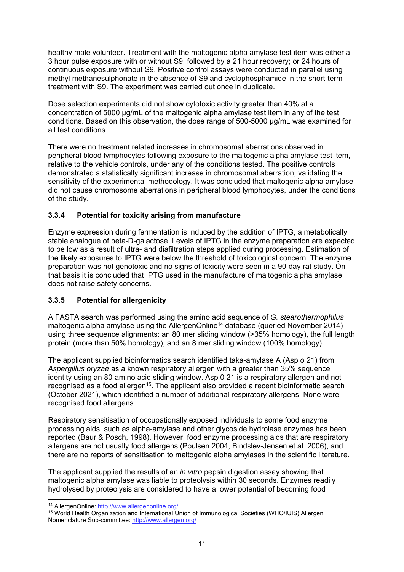healthy male volunteer. Treatment with the maltogenic alpha amylase test item was either a 3 hour pulse exposure with or without S9, followed by a 21 hour recovery; or 24 hours of continuous exposure without S9. Positive control assays were conducted in parallel using methyl methanesulphonate in the absence of S9 and cyclophosphamide in the short-term treatment with S9. The experiment was carried out once in duplicate.

Dose selection experiments did not show cytotoxic activity greater than 40% at a concentration of 5000 µg/mL of the maltogenic alpha amylase test item in any of the test conditions. Based on this observation, the dose range of 500-5000 µg/mL was examined for all test conditions.

There were no treatment related increases in chromosomal aberrations observed in peripheral blood lymphocytes following exposure to the maltogenic alpha amylase test item, relative to the vehicle controls, under any of the conditions tested. The positive controls demonstrated a statistically significant increase in chromosomal aberration, validating the sensitivity of the experimental methodology. It was concluded that maltogenic alpha amylase did not cause chromosome aberrations in peripheral blood lymphocytes, under the conditions of the study.

## **3.3.4 Potential for toxicity arising from manufacture**

Enzyme expression during fermentation is induced by the addition of IPTG, a metabolically stable analogue of beta-D-galactose. Levels of IPTG in the enzyme preparation are expected to be low as a result of ultra- and diafiltration steps applied during processing. Estimation of the likely exposures to IPTG were below the threshold of toxicological concern. The enzyme preparation was not genotoxic and no signs of toxicity were seen in a 90-day rat study. On that basis it is concluded that IPTG used in the manufacture of maltogenic alpha amylase does not raise safety concerns.

## **3.3.5 Potential for allergenicity**

A FASTA search was performed using the amino acid sequence of *G. stearothermophilus* maltogenic alpha amylase using the AllergenOnline<sup>14</sup> database (queried November 2014) using three sequence alignments: an 80 mer sliding window (>35% homology), the full length protein (more than 50% homology), and an 8 mer sliding window (100% homology).

The applicant supplied bioinformatics search identified taka-amylase A (Asp o 21) from *Aspergillus oryzae* as a known respiratory allergen with a greater than 35% sequence identity using an 80-amino acid sliding window. Asp 0 21 is a respiratory allergen and not recognised as a food allergen<sup>15</sup>. The applicant also provided a recent bioinformatic search (October 2021), which identified a number of additional respiratory allergens. None were recognised food allergens.

Respiratory sensitisation of occupationally exposed individuals to some food enzyme processing aids, such as alpha-amylase and other glycoside hydrolase enzymes has been reported (Baur & Posch, 1998). However, food enzyme processing aids that are respiratory allergens are not usually food allergens (Poulsen 2004, Bindslev-Jensen et al. 2006), and there are no reports of sensitisation to maltogenic alpha amylases in the scientific literature.

The applicant supplied the results of an *in vitro* pepsin digestion assay showing that maltogenic alpha amylase was liable to proteolysis within 30 seconds. Enzymes readily hydrolysed by proteolysis are considered to have a lower potential of becoming food

 $\overline{a}$ 14 AllergenOnline: http://www.allergenonline.org/

<sup>15</sup> World Health Organization and International Union of Immunological Societies (WHO/IUIS) Allergen Nomenclature Sub-committee: http://www.allergen.org/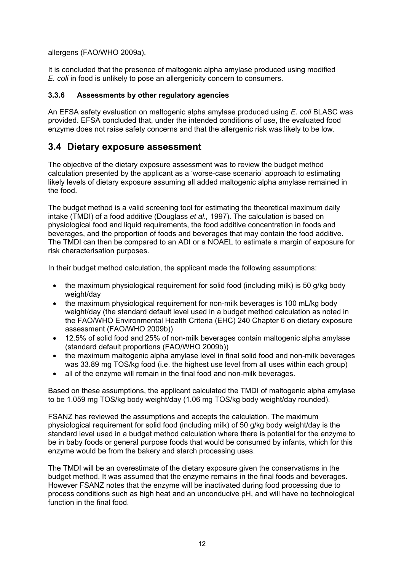allergens (FAO/WHO 2009a).

It is concluded that the presence of maltogenic alpha amylase produced using modified *E. coli* in food is unlikely to pose an allergenicity concern to consumers.

### **3.3.6 Assessments by other regulatory agencies**

An EFSA safety evaluation on maltogenic alpha amylase produced using *E. coli* BLASC was provided. EFSA concluded that, under the intended conditions of use, the evaluated food enzyme does not raise safety concerns and that the allergenic risk was likely to be low.

## **3.4 Dietary exposure assessment**

The objective of the dietary exposure assessment was to review the budget method calculation presented by the applicant as a 'worse-case scenario' approach to estimating likely levels of dietary exposure assuming all added maltogenic alpha amylase remained in the food.

The budget method is a valid screening tool for estimating the theoretical maximum daily intake (TMDI) of a food additive (Douglass *et al.,* 1997). The calculation is based on physiological food and liquid requirements, the food additive concentration in foods and beverages, and the proportion of foods and beverages that may contain the food additive. The TMDI can then be compared to an ADI or a NOAEL to estimate a margin of exposure for risk characterisation purposes.

In their budget method calculation, the applicant made the following assumptions:

- the maximum physiological requirement for solid food (including milk) is 50 g/kg body weight/day
- the maximum physiological requirement for non-milk beverages is 100 mL/kg body weight/day (the standard default level used in a budget method calculation as noted in the FAO/WHO Environmental Health Criteria (EHC) 240 Chapter 6 on dietary exposure assessment (FAO/WHO 2009b))
- 12.5% of solid food and 25% of non-milk beverages contain maltogenic alpha amylase (standard default proportions (FAO/WHO 2009b))
- the maximum maltogenic alpha amylase level in final solid food and non-milk beverages was 33.89 mg TOS/kg food (i.e. the highest use level from all uses within each group)
- all of the enzyme will remain in the final food and non-milk beverages.

Based on these assumptions, the applicant calculated the TMDI of maltogenic alpha amylase to be 1.059 mg TOS/kg body weight/day (1.06 mg TOS/kg body weight/day rounded).

FSANZ has reviewed the assumptions and accepts the calculation. The maximum physiological requirement for solid food (including milk) of 50 g/kg body weight/day is the standard level used in a budget method calculation where there is potential for the enzyme to be in baby foods or general purpose foods that would be consumed by infants, which for this enzyme would be from the bakery and starch processing uses.

The TMDI will be an overestimate of the dietary exposure given the conservatisms in the budget method. It was assumed that the enzyme remains in the final foods and beverages. However FSANZ notes that the enzyme will be inactivated during food processing due to process conditions such as high heat and an unconducive pH, and will have no technological function in the final food.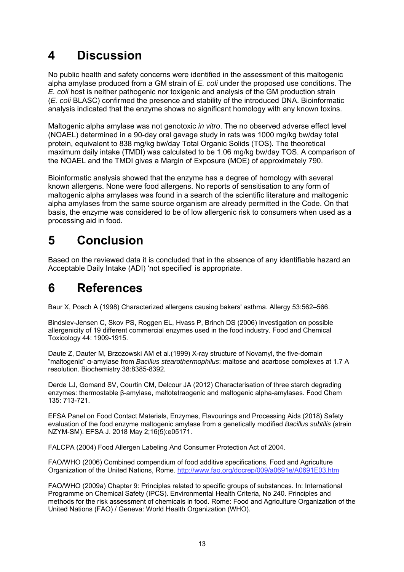# **4 Discussion**

No public health and safety concerns were identified in the assessment of this maltogenic alpha amylase produced from a GM strain of *E. coli* under the proposed use conditions. The *E. coli* host is neither pathogenic nor toxigenic and analysis of the GM production strain (*E. coli* BLASC) confirmed the presence and stability of the introduced DNA. Bioinformatic analysis indicated that the enzyme shows no significant homology with any known toxins.

Maltogenic alpha amylase was not genotoxic *in vitro*. The no observed adverse effect level (NOAEL) determined in a 90-day oral gavage study in rats was 1000 mg/kg bw/day total protein, equivalent to 838 mg/kg bw/day Total Organic Solids (TOS). The theoretical maximum daily intake (TMDI) was calculated to be 1.06 mg/kg bw/day TOS. A comparison of the NOAEL and the TMDI gives a Margin of Exposure (MOE) of approximately 790.

Bioinformatic analysis showed that the enzyme has a degree of homology with several known allergens. None were food allergens. No reports of sensitisation to any form of maltogenic alpha amylases was found in a search of the scientific literature and maltogenic alpha amylases from the same source organism are already permitted in the Code. On that basis, the enzyme was considered to be of low allergenic risk to consumers when used as a processing aid in food.

# **5 Conclusion**

Based on the reviewed data it is concluded that in the absence of any identifiable hazard an Acceptable Daily Intake (ADI) 'not specified' is appropriate.

# **6 References**

Baur X, Posch A (1998) Characterized allergens causing bakers' asthma. Allergy 53:562–566.

Bindslev-Jensen C, Skov PS, Roggen EL, Hvass P, Brinch DS (2006) Investigation on possible allergenicity of 19 different commercial enzymes used in the food industry. Food and Chemical Toxicology 44: 1909-1915.

Daute Z, Dauter M, Brzozowski AM et al.(1999) X-ray structure of Novamyl, the five-domain "maltogenic" α-amylase from *Bacillus stearothermophilus*: maltose and acarbose complexes at 1.7 A resolution. Biochemistry 38:8385-8392*.* 

Derde LJ, Gomand SV, Courtin CM, Delcour JA (2012) Characterisation of three starch degrading enzymes: thermostable β-amylase, maltotetraogenic and maltogenic alpha-amylases. Food Chem 135: 713-721.

EFSA Panel on Food Contact Materials, Enzymes, Flavourings and Processing Aids (2018) Safety evaluation of the food enzyme maltogenic amylase from a genetically modified *Bacillus subtilis* (strain NZYM-SM). EFSA J. 2018 May 2;16(5):e05171.

FALCPA (2004) Food Allergen Labeling And Consumer Protection Act of 2004.

FAO/WHO (2006) Combined compendium of food additive specifications, Food and Agriculture Organization of the United Nations, Rome. http://www.fao.org/docrep/009/a0691e/A0691E03.htm

FAO/WHO (2009a) Chapter 9: Principles related to specific groups of substances. In: International Programme on Chemical Safety (IPCS). Environmental Health Criteria, No 240. Principles and methods for the risk assessment of chemicals in food. Rome: Food and Agriculture Organization of the United Nations (FAO) / Geneva: World Health Organization (WHO).